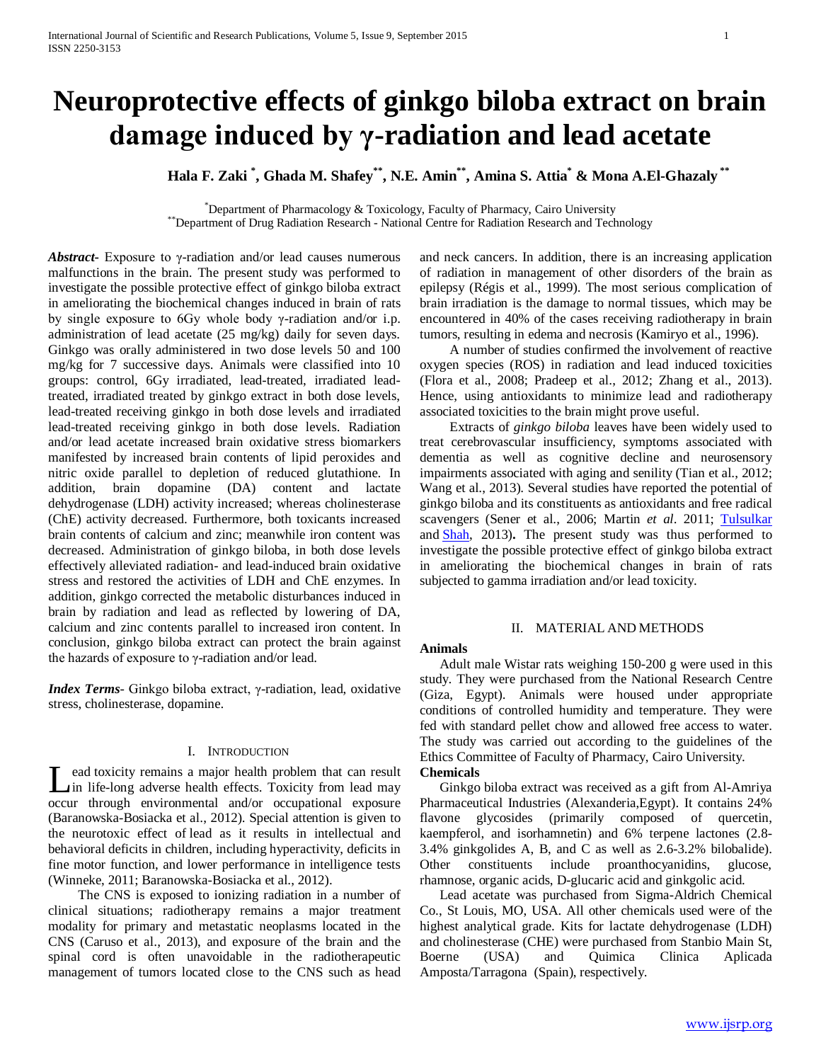# **Neuroprotective effects of ginkgo biloba extract on brain damage induced by γ-radiation and lead acetate**

**Hala F. Zaki \* , Ghada M. Shafey\*\*, N.E. Amin\*\*, Amina S. Attia\* & Mona A.El-Ghazaly \*\***

\*Department of Pharmacology & Toxicology, Faculty of Pharmacy, Cairo University \*\*Department of Drug Radiation Research - National Centre for Radiation Research and Technology

*Abstract***-** Exposure to γ-radiation and/or lead causes numerous malfunctions in the brain. The present study was performed to investigate the possible protective effect of ginkgo biloba extract in ameliorating the biochemical changes induced in brain of rats by single exposure to 6Gy whole body γ-radiation and/or i.p. administration of lead acetate (25 mg/kg) daily for seven days. Ginkgo was orally administered in two dose levels 50 and 100 mg/kg for 7 successive days. Animals were classified into 10 groups: control, 6Gy irradiated, lead-treated, irradiated leadtreated, irradiated treated by ginkgo extract in both dose levels, lead-treated receiving ginkgo in both dose levels and irradiated lead-treated receiving ginkgo in both dose levels. Radiation and/or lead acetate increased brain oxidative stress biomarkers manifested by increased brain contents of lipid peroxides and nitric oxide parallel to depletion of reduced glutathione. In addition, brain dopamine (DA) content and lactate dehydrogenase (LDH) activity increased; whereas cholinesterase (ChE) activity decreased. Furthermore, both toxicants increased brain contents of calcium and zinc; meanwhile iron content was decreased. Administration of ginkgo biloba, in both dose levels effectively alleviated radiation- and lead-induced brain oxidative stress and restored the activities of LDH and ChE enzymes. In addition, ginkgo corrected the metabolic disturbances induced in brain by radiation and lead as reflected by lowering of DA, calcium and zinc contents parallel to increased iron content. In conclusion, ginkgo biloba extract can protect the brain against the hazards of exposure to γ-radiation and/or lead.

*Index Terms*- Ginkgo biloba extract, γ-radiation, lead, oxidative stress, cholinesterase, dopamine.

# I. INTRODUCTION

ead toxicity remains a major health problem that can result in life-long adverse health effects. Toxicity from lead may Let a toxicity remains a major health problem that can result<br>in life-long adverse health effects. Toxicity from lead may<br>occur through environmental and/or occupational exposure (Baranowska-Bosiacka et al., 2012). Special attention is given to the neurotoxic effect of lead as it results in intellectual and behavioral deficits in children, including hyperactivity, deficits in fine motor function, and lower performance in intelligence tests (Winneke, 2011; Baranowska-Bosiacka et al., 2012).

 The CNS is exposed to ionizing radiation in a number of clinical situations; radiotherapy remains a major treatment modality for primary and metastatic neoplasms located in the CNS (Caruso et al., 2013), and exposure of the brain and the spinal cord is often unavoidable in the radiotherapeutic management of tumors located close to the CNS such as head and neck cancers. In addition, there is an increasing application of radiation in management of other disorders of the brain as epilepsy (Régis et al., 1999). The most serious complication of brain irradiation is the damage to normal tissues, which may be encountered in 40% of the cases receiving radiotherapy in brain tumors, resulting in edema and necrosis (Kamiryo et al., 1996).

 A number of studies confirmed the involvement of reactive oxygen species (ROS) in radiation and lead induced toxicities (Flora et al., 2008; Pradeep et al., 2012; Zhang et al., 2013). Hence, using antioxidants to minimize lead and radiotherapy associated toxicities to the brain might prove useful.

 Extracts of *ginkgo biloba* leaves have been widely used to treat cerebrovascular insufficiency, symptoms associated with dementia as well as cognitive decline and neurosensory impairments associated with aging and senility (Tian et al., 2012; Wang et al., 2013). Several studies have reported the potential of ginkgo biloba and its constituents as antioxidants and free radical scavengers (Sener et al., 2006; Martin *et al*. 2011; [Tulsulkar](http://www.ncbi.nlm.nih.gov/pubmed?term=Tulsulkar%20J%5BAuthor%5D&cauthor=true&cauthor_uid=23228346)  [a](http://www.ncbi.nlm.nih.gov/pubmed?term=Tulsulkar%20J%5BAuthor%5D&cauthor=true&cauthor_uid=23228346)nd [Shah,](http://www.ncbi.nlm.nih.gov/pubmed?term=Shah%20ZA%5BAuthor%5D&cauthor=true&cauthor_uid=23228346) 2013)**.** The present study was thus performed to investigate the possible protective effect of ginkgo biloba extract in ameliorating the biochemical changes in brain of rats subjected to gamma irradiation and/or lead toxicity.

# II. MATERIAL AND METHODS

### **Animals**

 Adult male Wistar rats weighing 150-200 g were used in this study. They were purchased from the National Research Centre (Giza, Egypt). Animals were housed under appropriate conditions of controlled humidity and temperature. They were fed with standard pellet chow and allowed free access to water. The study was carried out according to the guidelines of the Ethics Committee of Faculty of Pharmacy, Cairo University.

# **Chemicals**

 Ginkgo biloba extract was received as a gift from Al-Amriya Pharmaceutical Industries (Alexanderia,Egypt). It contains 24% flavone glycosides (primarily composed of quercetin, kaempferol, and isorhamnetin) and 6% terpene lactones (2.8- 3.4% ginkgolides A, B, and C as well as 2.6-3.2% bilobalide). Other constituents include proanthocyanidins, glucose, rhamnose, organic acids, D-glucaric acid and ginkgolic acid.

 Lead acetate was purchased from Sigma-Aldrich Chemical Co., St Louis, MO, USA. All other chemicals used were of the highest analytical grade. Kits for lactate dehydrogenase (LDH) and cholinesterase (CHE) were purchased from Stanbio Main St, Boerne (USA) and Quimica Clinica Aplicada Amposta/Tarragona (Spain), respectively.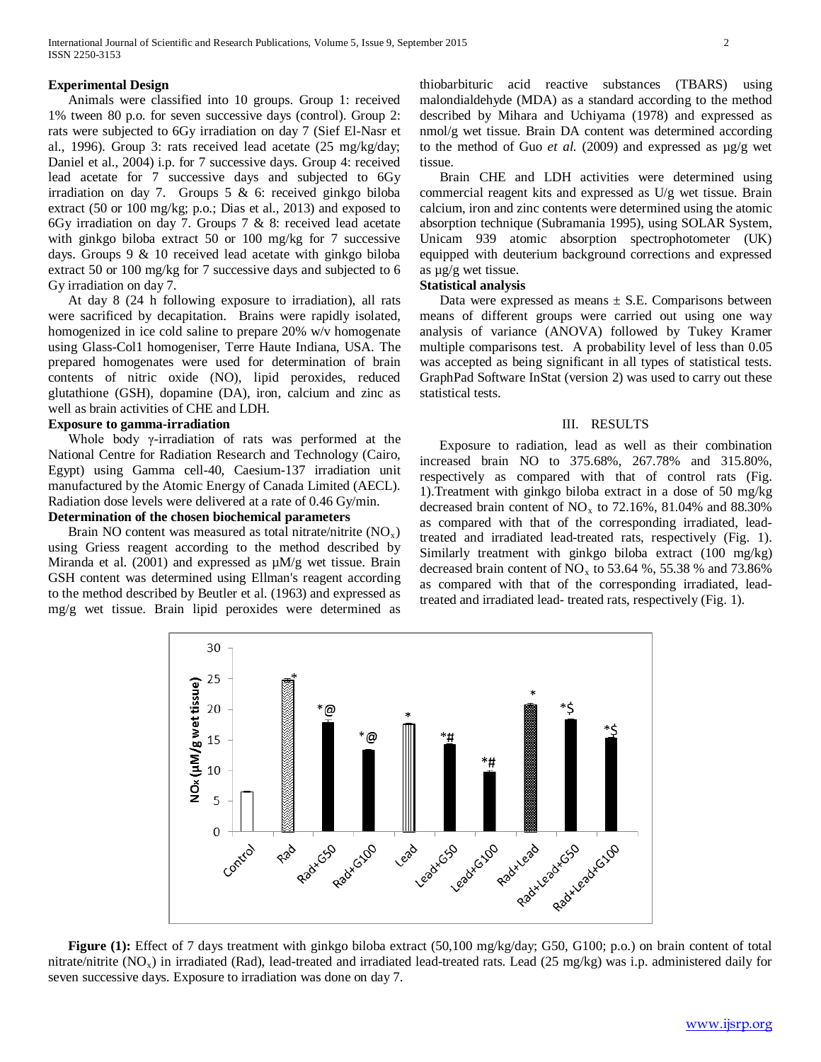#### **Experimental Design**

 Animals were classified into 10 groups. Group 1: received 1% tween 80 p.o. for seven successive days (control). Group 2: rats were subjected to 6Gy irradiation on day 7 (Sief El-Nasr et al., 1996). Group 3: rats received lead acetate (25 mg/kg/day; Daniel et al., 2004) i.p. for 7 successive days. Group 4: received lead acetate for 7 successive days and subjected to 6Gy irradiation on day 7. Groups 5 & 6: received ginkgo biloba extract (50 or 100 mg/kg; p.o.; Dias et al., 2013) and exposed to 6Gy irradiation on day 7. Groups 7 & 8: received lead acetate with ginkgo biloba extract 50 or 100 mg/kg for 7 successive days. Groups 9 & 10 received lead acetate with ginkgo biloba extract 50 or 100 mg/kg for 7 successive days and subjected to 6 Gy irradiation on day 7.

 At day 8 (24 h following exposure to irradiation), all rats were sacrificed by decapitation. Brains were rapidly isolated, homogenized in ice cold saline to prepare 20% w/v homogenate using Glass-Col1 homogeniser, Terre Haute Indiana, USA. The prepared homogenates were used for determination of brain contents of nitric oxide (NO), lipid peroxides, reduced glutathione (GSH), dopamine (DA), iron, calcium and zinc as well as brain activities of CHE and LDH.

#### **Exposure to gamma-irradiation**

 Whole body γ-irradiation of rats was performed at the National Centre for Radiation Research and Technology (Cairo, Egypt) using Gamma cell-40, Caesium-137 irradiation unit manufactured by the Atomic Energy of Canada Limited (AECL). Radiation dose levels were delivered at a rate of 0.46 Gy/min.

# **Determination of the chosen biochemical parameters**

Brain NO content was measured as total nitrate/nitrite  $(NO<sub>x</sub>)$ using Griess reagent according to the method described by Miranda et al.  $(2001)$  and expressed as  $\mu$ M/g wet tissue. Brain GSH content was determined using Ellman's reagent according to the method described by Beutler et al. (1963) and expressed as mg/g wet tissue. Brain lipid peroxides were determined as

thiobarbituric acid reactive substances (TBARS) using malondialdehyde (MDA) as a standard according to the method described by Mihara and Uchiyama (1978) and expressed as nmol/g wet tissue. Brain DA content was determined according to the method of Guo  $et$  al. (2009) and expressed as  $\mu$ g/g wet tissue.

 Brain CHE and LDH activities were determined using commercial reagent kits and expressed as U/g wet tissue. Brain calcium, iron and zinc contents were determined using the atomic absorption technique (Subramania 1995), using SOLAR System, Unicam 939 atomic absorption spectrophotometer (UK) equipped with deuterium background corrections and expressed as µg/g wet tissue.

## **Statistical analysis**

Data were expressed as means  $\pm$  S.E. Comparisons between means of different groups were carried out using one way analysis of variance (ANOVA) followed by Tukey Kramer multiple comparisons test. A probability level of less than 0.05 was accepted as being significant in all types of statistical tests. GraphPad Software InStat (version 2) was used to carry out these statistical tests.

### III. RESULTS

 Exposure to radiation, lead as well as their combination increased brain NO to 375.68%, 267.78% and 315.80%, respectively as compared with that of control rats (Fig. 1).Treatment with ginkgo biloba extract in a dose of 50 mg/kg decreased brain content of  $NO_x$  to 72.16%, 81.04% and 88.30% as compared with that of the corresponding irradiated, leadtreated and irradiated lead-treated rats, respectively (Fig. 1). Similarly treatment with ginkgo biloba extract (100 mg/kg) decreased brain content of  $NO<sub>x</sub>$  to 53.64 %, 55.38 % and 73.86% as compared with that of the corresponding irradiated, leadtreated and irradiated lead- treated rats, respectively (Fig. 1).



**Figure (1):** Effect of 7 days treatment with ginkgo biloba extract (50,100 mg/kg/day; G50, G100; p.o.) on brain content of total nitrate/nitrite  $(NO_x)$  in irradiated (Rad), lead-treated and irradiated lead-treated rats. Lead (25 mg/kg) was i.p. administered daily for seven successive days. Exposure to irradiation was done on day 7.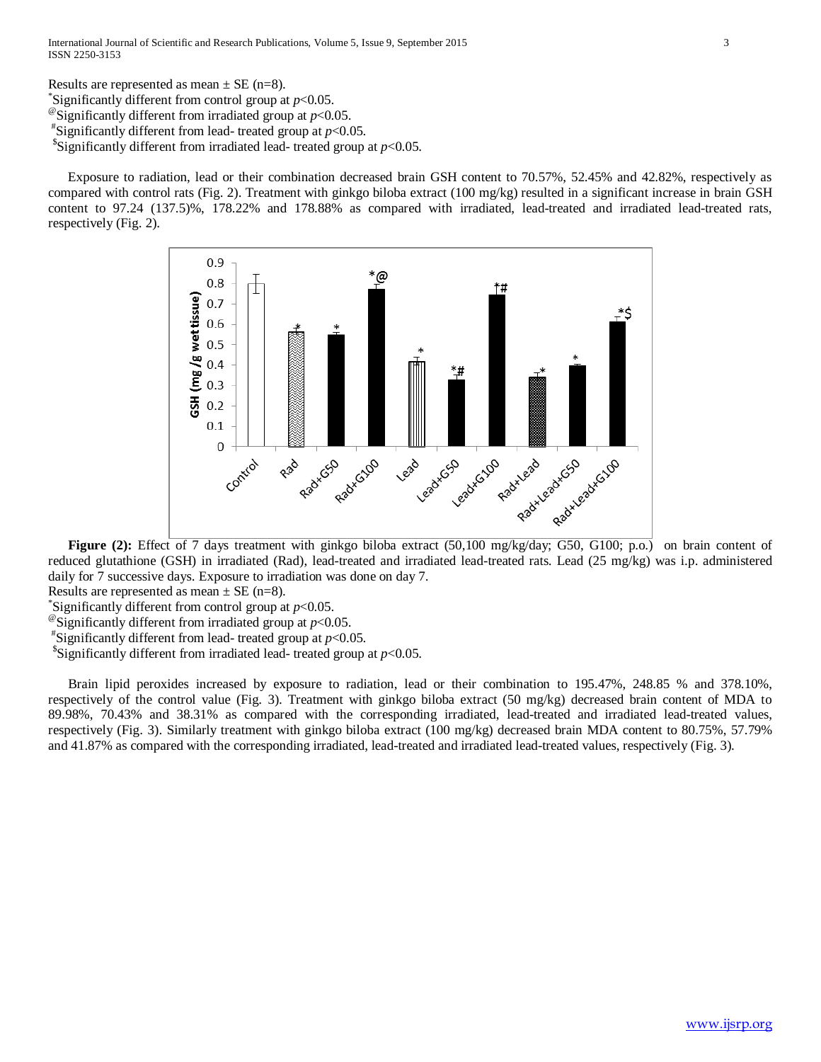Results are represented as mean  $\pm$  SE (n=8). Significantly different from control group at  $p<0.05$ . <sup>@</sup>Significantly different from irradiated group at  $p<0.05$ .  $*$ Significantly different from lead- treated group at  $p<0.05$ . <sup>\$</sup>Significantly different from irradiated lead- treated group at  $p<0.05$ .

 Exposure to radiation, lead or their combination decreased brain GSH content to 70.57%, 52.45% and 42.82%, respectively as compared with control rats (Fig. 2). Treatment with ginkgo biloba extract (100 mg/kg) resulted in a significant increase in brain GSH content to 97.24 (137.5)%, 178.22% and 178.88% as compared with irradiated, lead-treated and irradiated lead-treated rats, respectively (Fig. 2).



Figure (2): Effect of 7 days treatment with ginkgo biloba extract (50,100 mg/kg/day; G50, G100; p.o.) on brain content of reduced glutathione (GSH) in irradiated (Rad), lead-treated and irradiated lead-treated rats. Lead (25 mg/kg) was i.p. administered daily for 7 successive days. Exposure to irradiation was done on day 7.

Results are represented as mean  $\pm$  SE (n=8).

Significantly different from control group at  $p<0.05$ .

 $^{\circ}$ Significantly different from irradiated group at *p*<0.05.

 $*$ Significantly different from lead- treated group at  $p<0.05$ .

<sup>\$</sup>Significantly different from irradiated lead- treated group at  $p<0.05$ .

 Brain lipid peroxides increased by exposure to radiation, lead or their combination to 195.47%, 248.85 % and 378.10%, respectively of the control value (Fig. 3). Treatment with ginkgo biloba extract (50 mg/kg) decreased brain content of MDA to 89.98%, 70.43% and 38.31% as compared with the corresponding irradiated, lead-treated and irradiated lead-treated values, respectively (Fig. 3). Similarly treatment with ginkgo biloba extract (100 mg/kg) decreased brain MDA content to 80.75%, 57.79% and 41.87% as compared with the corresponding irradiated, lead-treated and irradiated lead-treated values, respectively (Fig. 3).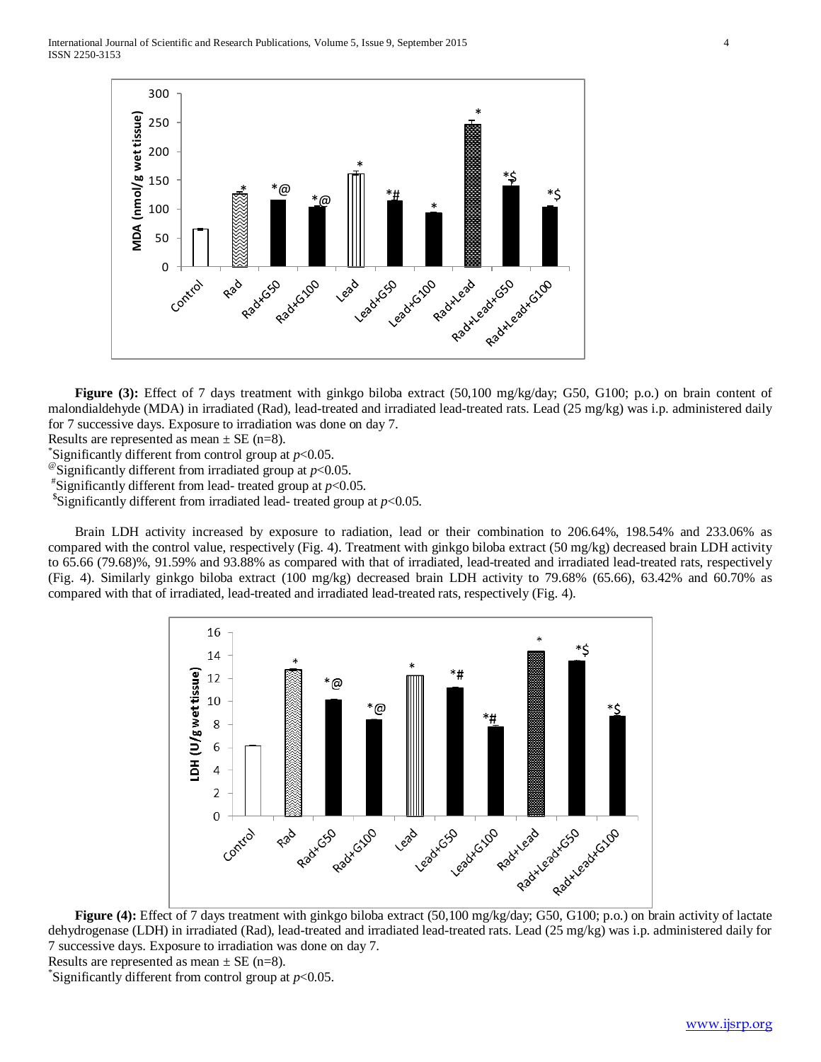International Journal of Scientific and Research Publications, Volume 5, Issue 9, September 2015 4 ISSN 2250-3153



**Figure (3):** Effect of 7 days treatment with ginkgo biloba extract (50,100 mg/kg/day; G50, G100; p.o.) on brain content of malondialdehyde (MDA) in irradiated (Rad), lead-treated and irradiated lead-treated rats. Lead (25 mg/kg) was i.p. administered daily for 7 successive days. Exposure to irradiation was done on day 7.

Results are represented as mean  $\pm$  SE (n=8).

Significantly different from control group at  $p<0.05$ .

<sup>@</sup>Significantly different from irradiated group at  $p<0.05$ .

 $*$ Significantly different from lead- treated group at  $p<0.05$ .

<sup>\$</sup>Significantly different from irradiated lead- treated group at  $p<0.05$ .

Brain LDH activity increased by exposure to radiation, lead or their combination to 206.64%, 198.54% and 233.06% as compared with the control value, respectively (Fig. 4). Treatment with ginkgo biloba extract (50 mg/kg) decreased brain LDH activity to 65.66 (79.68)%, 91.59% and 93.88% as compared with that of irradiated, lead-treated and irradiated lead-treated rats, respectively (Fig. 4). Similarly ginkgo biloba extract (100 mg/kg) decreased brain LDH activity to 79.68% (65.66), 63.42% and 60.70% as compared with that of irradiated, lead-treated and irradiated lead-treated rats, respectively (Fig. 4).



**Figure (4):** Effect of 7 days treatment with ginkgo biloba extract (50,100 mg/kg/day; G50, G100; p.o.) on brain activity of lactate dehydrogenase (LDH) in irradiated (Rad), lead-treated and irradiated lead-treated rats. Lead (25 mg/kg) was i.p. administered daily for 7 successive days. Exposure to irradiation was done on day 7. Results are represented as mean  $\pm$  SE (n=8).

\* Significantly different from control group at *p*<0.05.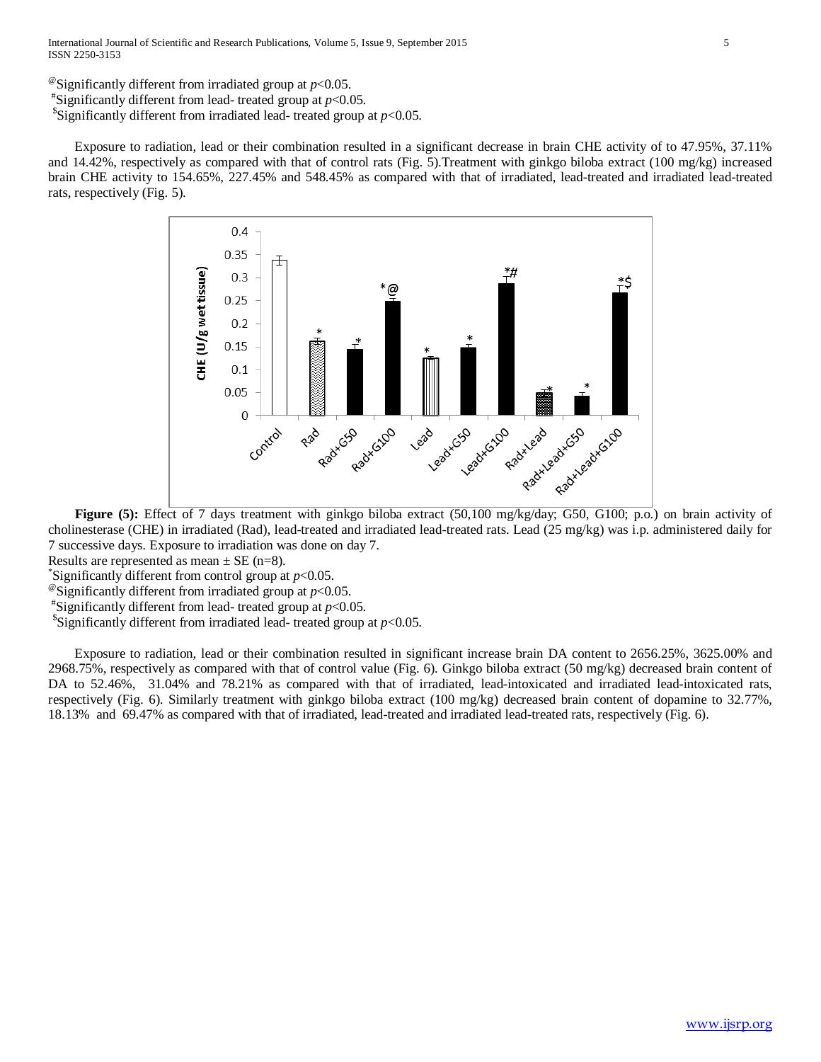<sup>@</sup>Significantly different from irradiated group at  $p<0.05$ . "Significantly different from lead- treated group at  $p<0.05$ .  $\frac{\text{S}}{\text{Significantly}}$  different from irradiated lead- treated group at *p*<0.05.

Exposure to radiation, lead or their combination resulted in a significant decrease in brain CHE activity of to 47.95%, 37.11% and 14.42%, respectively as compared with that of control rats (Fig. 5).Treatment with ginkgo biloba extract (100 mg/kg) increased brain CHE activity to 154.65%, 227.45% and 548.45% as compared with that of irradiated, lead-treated and irradiated lead-treated rats, respectively (Fig. 5).



**Figure (5):** Effect of 7 days treatment with ginkgo biloba extract (50,100 mg/kg/day; G50, G100; p.o.) on brain activity of cholinesterase (CHE) in irradiated (Rad), lead-treated and irradiated lead-treated rats. Lead (25 mg/kg) was i.p. administered daily for 7 successive days. Exposure to irradiation was done on day 7.

Results are represented as mean  $\pm$  SE (n=8).

Significantly different from control group at  $p<0.05$ .

<sup>@</sup>Significantly different from irradiated group at  $p<0.05$ .

 $*$ Significantly different from lead- treated group at  $p<0.05$ .

<sup>\$</sup>Significantly different from irradiated lead- treated group at  $p<0.05$ .

Exposure to radiation, lead or their combination resulted in significant increase brain DA content to 2656.25%, 3625.00% and 2968.75%, respectively as compared with that of control value (Fig. 6). Ginkgo biloba extract (50 mg/kg) decreased brain content of DA to 52.46%, 31.04% and 78.21% as compared with that of irradiated, lead-intoxicated and irradiated lead-intoxicated rats, respectively (Fig. 6). Similarly treatment with ginkgo biloba extract (100 mg/kg) decreased brain content of dopamine to 32.77%, 18.13% and 69.47% as compared with that of irradiated, lead-treated and irradiated lead-treated rats, respectively (Fig. 6).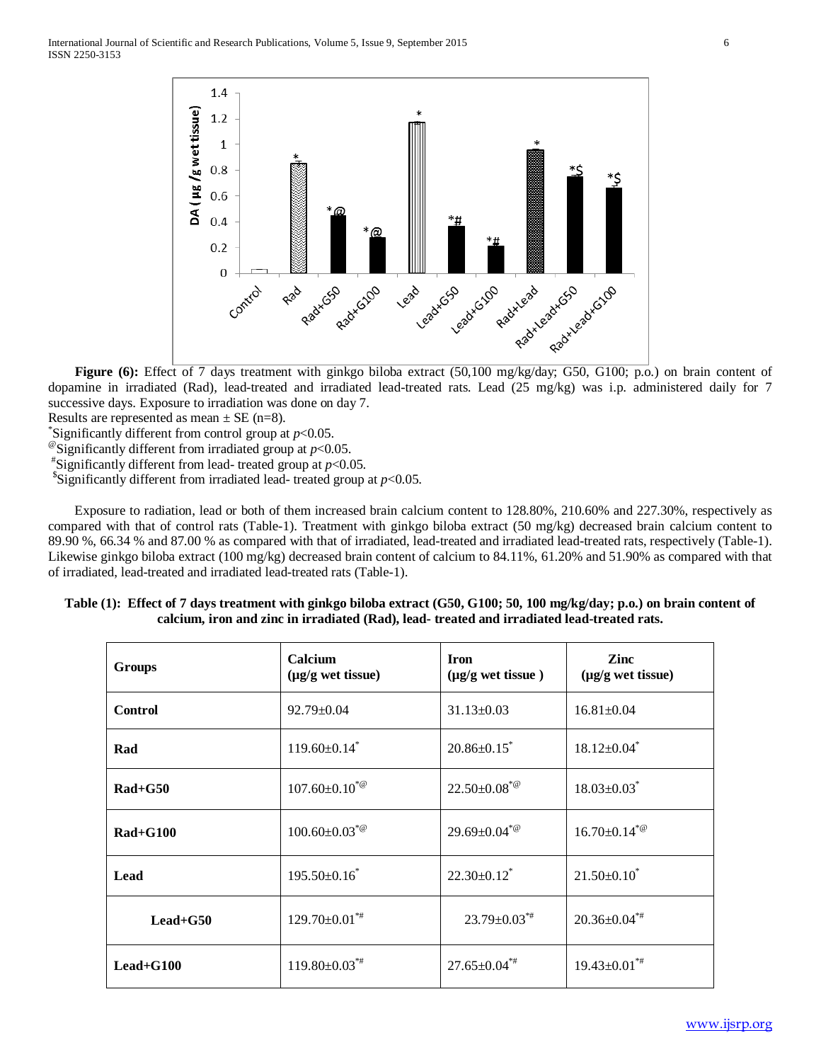

**Figure (6):** Effect of 7 days treatment with ginkgo biloba extract (50,100 mg/kg/day; G50, G100; p.o.) on brain content of dopamine in irradiated (Rad), lead-treated and irradiated lead-treated rats. Lead (25 mg/kg) was i.p. administered daily for 7 successive days. Exposure to irradiation was done on day 7.

Results are represented as mean  $\pm$  SE (n=8).

Significantly different from control group at  $p<0.05$ .

<sup>@</sup>Significantly different from irradiated group at  $p$ <0.05.

 $*$ Significantly different from lead- treated group at  $p<0.05$ .

<sup>\$</sup>Significantly different from irradiated lead- treated group at  $p$ <0.05.

Exposure to radiation, lead or both of them increased brain calcium content to 128.80%, 210.60% and 227.30%, respectively as compared with that of control rats (Table-1). Treatment with ginkgo biloba extract (50 mg/kg) decreased brain calcium content to 89.90 %, 66.34 % and 87.00 % as compared with that of irradiated, lead-treated and irradiated lead-treated rats, respectively (Table-1). Likewise ginkgo biloba extract (100 mg/kg) decreased brain content of calcium to 84.11%, 61.20% and 51.90% as compared with that of irradiated, lead-treated and irradiated lead-treated rats (Table-1).

| Table (1): Effect of 7 days treatment with ginkgo biloba extract (G50, G100; 50, 100 mg/kg/day; p.o.) on brain content of |  |
|---------------------------------------------------------------------------------------------------------------------------|--|
| calcium, iron and zinc in irradiated (Rad), lead- treated and irradiated lead-treated rats.                               |  |

| Groups         | Calcium<br>$(\mu g/g$ wet tissue) | <b>Iron</b><br>$(\mu g/g$ wet tissue) | <b>Zinc</b><br>$(\mu g/g$ wet tissue) |
|----------------|-----------------------------------|---------------------------------------|---------------------------------------|
| <b>Control</b> | $92.79 \pm 0.04$                  | $31.13 \pm 0.03$                      | $16.81 \pm 0.04$                      |
| Rad            | $119.60 \pm 0.14$ <sup>*</sup>    | $20.86 \pm 0.15$                      | $18.12{\pm}0.04$ <sup>*</sup>         |
| $Rad+G50$      | $107.60 \pm 0.10^{*@}$            | $22.50\pm0.08^{*@}$                   | $18.03 \pm 0.03$ <sup>*</sup>         |
| $Rad+G100$     | $100.60 \pm 0.03^{\ast}$          | $29.69 \pm 0.04^{*@}$                 | $16.70 \pm 0.14^{\ast}$               |
| Lead           | $195.50 \pm 0.16^*$               | $22.30\pm0.12$ <sup>*</sup>           | $21.50\pm0.10^*$                      |
| $Leaf+G50$     | $129.70 \pm 0.01^{**}$            | $23.79 \pm 0.03^{*}$                  | $20.36 \pm 0.04^{*}$                  |
| $Leaf+G100$    | $119.80\pm0.03$ <sup>**</sup>     | $27.65 \pm 0.04^{*}$                  | $19.43 \pm 0.01^{*}$                  |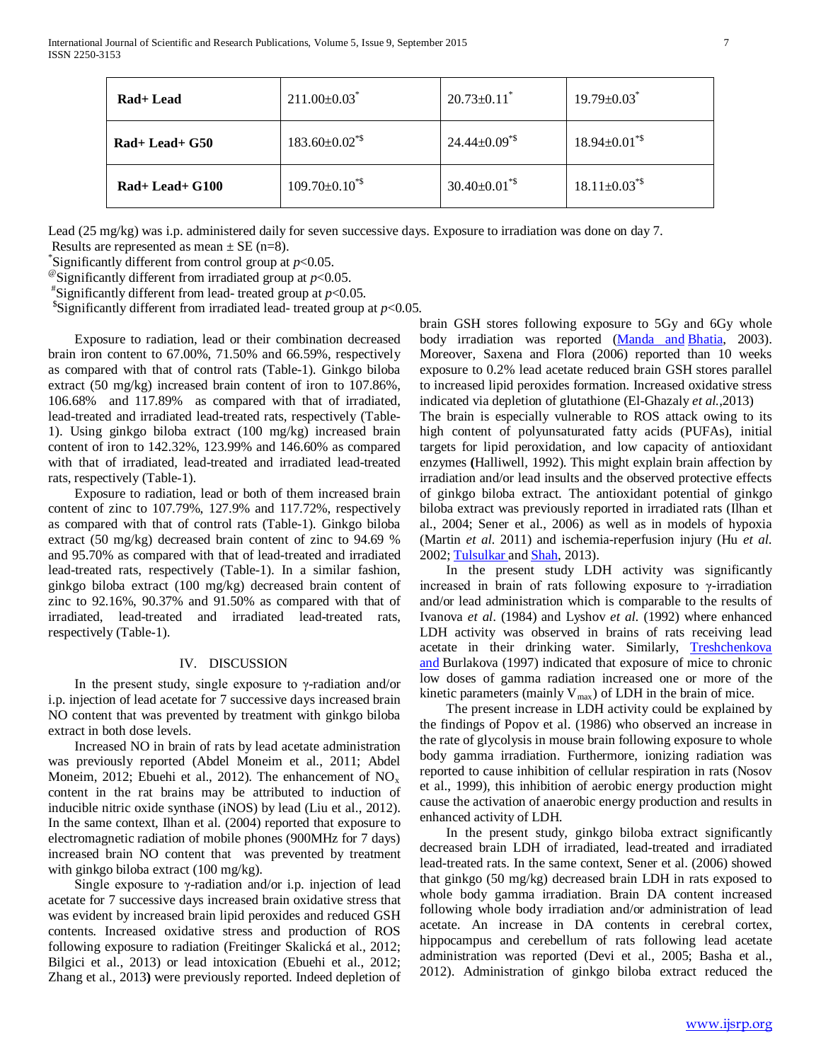| Rad+ Lead       | $211.00 \pm 0.03$                | $20.73 \pm 0.11$ <sup>*</sup>   | $19.79 \pm 0.03$                |
|-----------------|----------------------------------|---------------------------------|---------------------------------|
| $Rad+Lead+G50$  | $183.60 \pm 0.02$ <sup>*\$</sup> | $24.44 \pm 0.09$ <sup>*\$</sup> | $18.94 \pm 0.01^{\text{*}}$     |
| $Rad+Lead+G100$ | $109.70 \pm 0.10$ <sup>*\$</sup> | $30.40 \pm 0.01^{\text{*}}$     | $18.11 \pm 0.03$ <sup>*\$</sup> |

Lead (25 mg/kg) was i.p. administered daily for seven successive days. Exposure to irradiation was done on day 7.

Results are represented as mean  $\pm$  SE (n=8).<br>
Significantly different from control group at  $p$ <0.05.

 $^{\circ}$ Significantly different from irradiated group at *p*<0.05.

 $*$ Significantly different from lead- treated group at  $p<0.05$ .

<sup>\$</sup>Significantly different from irradiated lead- treated group at  $p<0.05$ .

Exposure to radiation, lead or their combination decreased brain iron content to 67.00%, 71.50% and 66.59%, respectively as compared with that of control rats (Table-1). Ginkgo biloba extract (50 mg/kg) increased brain content of iron to 107.86%, 106.68% and 117.89% as compared with that of irradiated, lead-treated and irradiated lead-treated rats, respectively (Table-1). Using ginkgo biloba extract (100 mg/kg) increased brain content of iron to 142.32%, 123.99% and 146.60% as compared with that of irradiated, lead-treated and irradiated lead-treated rats, respectively (Table-1).

Exposure to radiation, lead or both of them increased brain content of zinc to 107.79%, 127.9% and 117.72%, respectively as compared with that of control rats (Table-1). Ginkgo biloba extract (50 mg/kg) decreased brain content of zinc to 94.69 % and 95.70% as compared with that of lead-treated and irradiated lead-treated rats, respectively (Table-1). In a similar fashion, ginkgo biloba extract (100 mg/kg) decreased brain content of zinc to 92.16%, 90.37% and 91.50% as compared with that of irradiated, lead-treated and irradiated lead-treated rats, respectively (Table-1).

# IV. DISCUSSION

In the present study, single exposure to γ-radiation and/or i.p. injection of lead acetate for 7 successive days increased brain NO content that was prevented by treatment with ginkgo biloba extract in both dose levels.

Increased NO in brain of rats by lead acetate administration was previously reported (Abdel Moneim et al., 2011; Abdel Moneim, 2012; Ebuehi et al., 2012). The enhancement of  $NO_x$ content in the rat brains may be attributed to induction of inducible nitric oxide synthase (iNOS) by lead (Liu et al., 2012). In the same context, Ilhan et al. (2004) reported that exposure to electromagnetic radiation of mobile phones (900MHz for 7 days) increased brain NO content that was prevented by treatment with ginkgo biloba extract (100 mg/kg).

Single exposure to γ-radiation and/or i.p. injection of lead acetate for 7 successive days increased brain oxidative stress that was evident by increased brain lipid peroxides and reduced GSH contents. Increased oxidative stress and production of ROS following exposure to radiation (Freitinger Skalická et al., 2012; Bilgici et al., 2013) or lead intoxication (Ebuehi et al., 2012; Zhang et al., 2013**)** were previously reported. Indeed depletion of brain GSH stores following exposure to 5Gy and 6Gy whole body irradiation was reported [\(Manda and](http://www.ncbi.nlm.nih.gov/pubmed?term=Manda%20K%5BAuthor%5D&cauthor=true&cauthor_uid=15248648) [Bhatia,](http://www.ncbi.nlm.nih.gov/pubmed?term=Bhatia%20AL%5BAuthor%5D&cauthor=true&cauthor_uid=15248648) 2003). Moreover, Saxena and Flora (2006) reported than 10 weeks exposure to 0.2% lead acetate reduced brain GSH stores parallel to increased lipid peroxides formation. Increased oxidative stress indicated via depletion of glutathione (El-Ghazaly *et al.*,2013)

The brain is especially vulnerable to ROS attack owing to its high content of polyunsaturated fatty acids (PUFAs), initial targets for lipid peroxidation, and low capacity of antioxidant enzymes **(**Halliwell, 1992). This might explain brain affection by irradiation and/or lead insults and the observed protective effects of ginkgo biloba extract. The antioxidant potential of ginkgo biloba extract was previously reported in irradiated rats (Ilhan et al., 2004; Sener et al., 2006) as well as in models of hypoxia (Martin *et al*. 2011) and ischemia-reperfusion injury (Hu *et al*. 2002[; Tulsulkar a](http://www.ncbi.nlm.nih.gov/pubmed?term=Tulsulkar%20J%5BAuthor%5D&cauthor=true&cauthor_uid=23228346)nd [Shah,](http://www.ncbi.nlm.nih.gov/pubmed?term=Shah%20ZA%5BAuthor%5D&cauthor=true&cauthor_uid=23228346) 2013).

In the present study LDH activity was significantly increased in brain of rats following exposure to  $\gamma$ -irradiation and/or lead administration which is comparable to the results of Ivanova *et al*. (1984) and Lyshov *et al*. (1992) where enhanced LDH activity was observed in brains of rats receiving lead acetate in their drinking water. Similarly, [Treshchenkova](http://www.ncbi.nlm.nih.gov/pubmed?term=Treshchenkova%20IuA%5BAuthor%5D&cauthor=true&cauthor_uid=9102125)  [and](http://www.ncbi.nlm.nih.gov/pubmed?term=Treshchenkova%20IuA%5BAuthor%5D&cauthor=true&cauthor_uid=9102125) Burlakova (1997) indicated that exposure of mice to chronic low doses of gamma radiation increased one or more of the kinetic parameters (mainly  $V_{max}$ ) of LDH in the brain of mice.

The present increase in LDH activity could be explained by the findings of Popov et al. (1986) who observed an increase in the rate of glycolysis in mouse brain following exposure to whole body gamma irradiation. Furthermore, ionizing radiation was reported to cause inhibition of cellular respiration in rats (Nosov et al., 1999), this inhibition of aerobic energy production might cause the activation of anaerobic energy production and results in enhanced activity of LDH.

In the present study, ginkgo biloba extract significantly decreased brain LDH of irradiated, lead-treated and irradiated lead-treated rats. In the same context, Sener et al. (2006) showed that ginkgo (50 mg/kg) decreased brain LDH in rats exposed to whole body gamma irradiation. Brain DA content increased following whole body irradiation and/or administration of lead acetate. An increase in DA contents in cerebral cortex, hippocampus and cerebellum of rats following lead acetate administration was reported (Devi et al., 2005; Basha et al., 2012). Administration of ginkgo biloba extract reduced the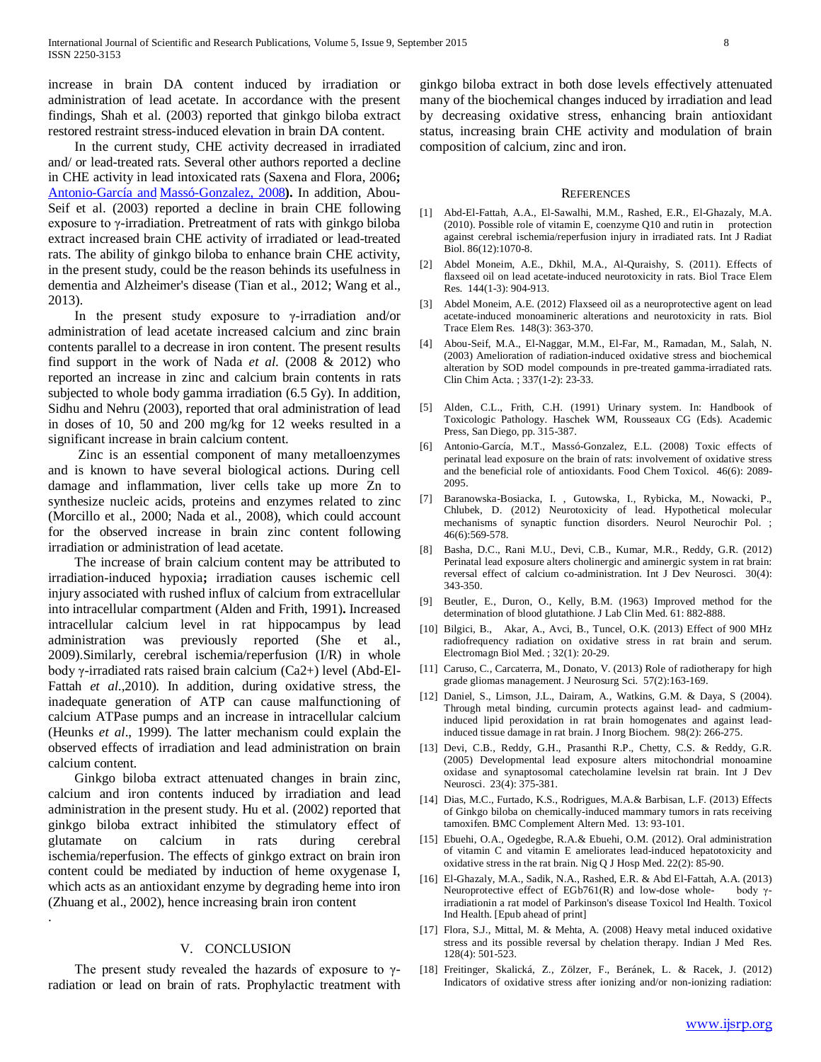increase in brain DA content induced by irradiation or administration of lead acetate. In accordance with the present findings, Shah et al. (2003) reported that ginkgo biloba extract restored restraint stress-induced elevation in brain DA content.

In the current study, CHE activity decreased in irradiated and/ or lead-treated rats. Several other authors reported a decline in CHE activity in lead intoxicated rats (Saxena and Flora, 2006**;**  [Antonio-García and](http://www.ncbi.nlm.nih.gov/pubmed?term=Antonio-Garc%C3%ADa%20MT%5BAuthor%5D&cauthor=true&cauthor_uid=18417264) [Massó-Gonzalez, 2008](http://www.ncbi.nlm.nih.gov/pubmed?term=Mass%C3%B3-Gonzalez%20EL%5BAuthor%5D&cauthor=true&cauthor_uid=18417264)**).** In addition, Abou-Seif et al. (2003) reported a decline in brain CHE following exposure to γ-irradiation. Pretreatment of rats with ginkgo biloba extract increased brain CHE activity of irradiated or lead-treated rats. The ability of ginkgo biloba to enhance brain CHE activity, in the present study, could be the reason behinds its usefulness in dementia and Alzheimer's disease (Tian et al., 2012; Wang et al., 2013).

In the present study exposure to  $γ$ -irradiation and/or administration of lead acetate increased calcium and zinc brain contents parallel to a decrease in iron content. The present results find support in the work of Nada *et al*. (2008 & 2012) who reported an increase in zinc and calcium brain contents in rats subjected to whole body gamma irradiation (6.5 Gy). In addition, Sidhu and Nehru (2003), reported that oral administration of lead in doses of 10, 50 and 200 mg/kg for 12 weeks resulted in a significant increase in brain calcium content.

Zinc is an essential component of many metalloenzymes and is known to have several biological actions. During cell damage and inflammation, liver cells take up more Zn to synthesize nucleic acids, proteins and enzymes related to zinc (Morcillo et al., 2000; Nada et al., 2008), which could account for the observed increase in brain zinc content following irradiation or administration of lead acetate.

The increase of brain calcium content may be attributed to irradiation-induced hypoxia**;** irradiation causes ischemic cell injury associated with rushed influx of calcium from extracellular into intracellular compartment (Alden and Frith, 1991)**.** Increased intracellular calcium level in rat hippocampus by lead administration was previously reported (She et al., 2009).Similarly, cerebral ischemia/reperfusion (I/R) in whole body γ-irradiated rats raised brain calcium (Ca2+) level (Abd-El-Fattah *et al*.,2010). In addition, during oxidative stress, the inadequate generation of ATP can cause malfunctioning of calcium ATPase pumps and an increase in intracellular calcium (Heunks *et al*., 1999). The latter mechanism could explain the observed effects of irradiation and lead administration on brain calcium content.

Ginkgo biloba extract attenuated changes in brain zinc, calcium and iron contents induced by irradiation and lead administration in the present study. Hu et al. (2002) reported that ginkgo biloba extract inhibited the stimulatory effect of glutamate on calcium in rats during cerebral ischemia/reperfusion. The effects of ginkgo extract on brain iron content could be mediated by induction of heme oxygenase I, which acts as an antioxidant enzyme by degrading heme into iron (Zhuang et al., 2002), hence increasing brain iron content

## V. CONCLUSION

The present study revealed the hazards of exposure to  $\gamma$ radiation or lead on brain of rats. Prophylactic treatment with

.

ginkgo biloba extract in both dose levels effectively attenuated many of the biochemical changes induced by irradiation and lead by decreasing oxidative stress, enhancing brain antioxidant status, increasing brain CHE activity and modulation of brain composition of calcium, zinc and iron.

#### **REFERENCES**

- [1] Abd-El-Fattah, A.A., El-Sawalhi, M.M., Rashed, E.R., El-Ghazaly, M.A.  $(2010)$ . Possible role of vitamin E, coenzyme Q10 and rutin in protection against cerebral ischemia/reperfusion injury in irradiated rats. Int J Radiat Biol. 86(12):1070-8.
- [2] Abdel Moneim, A.E., Dkhil, M.A., Al-Quraishy, S. (2011). Effects of flaxseed oil on lead acetate-induced neurotoxicity in rats. Biol Trace Elem Res. 144(1-3): 904-913.
- [3] Abdel Moneim, A.E. (2012) Flaxseed oil as a neuroprotective agent on lead acetate-induced monoamineric alterations and neurotoxicity in rats. Biol Trace Elem Res. 148(3): 363-370.
- [4] Abou-Seif, M.A., El-Naggar, M.M., El-Far, M., Ramadan, M., Salah, N. (2003) Amelioration of radiation-induced oxidative stress and biochemical alteration by SOD model compounds in pre-treated gamma-irradiated rats. Clin Chim Acta. ; 337(1-2): 23-33.
- [5] Alden, C.L., Frith, C.H. (1991) Urinary system. In: Handbook of Toxicologic Pathology. Haschek WM, Rousseaux CG (Eds). Academic Press, San Diego, pp. 315-387.
- [6] Antonio-García, M.T., Massó-Gonzalez, E.L. (2008) Toxic effects of perinatal lead exposure on the brain of rats: involvement of oxidative stress and the beneficial role of antioxidants. Food Chem Toxicol. 46(6): 2089- 2095.
- [7] Baranowska-Bosiacka, I. , Gutowska, I., Rybicka, M., Nowacki, P., Chlubek, D. (2012) Neurotoxicity of lead. Hypothetical molecular mechanisms of synaptic function disorders. Neurol Neurochir Pol. ; 46(6):569-578.
- [8] Basha, D.C., Rani M.U., Devi, C.B., Kumar, M.R., Reddy, G.R. (2012) Perinatal lead exposure alters cholinergic and aminergic system in rat brain: reversal effect of calcium co-administration. Int J Dev Neurosci. 30(4): 343-350.
- [9] Beutler, E., Duron, O., Kelly, B.M. (1963) Improved method for the determination of blood glutathione. J Lab Clin Med. 61: 882-888.
- [10] Bilgici, B., Akar, A., Avci, B., Tuncel, O.K. (2013) Effect of 900 MHz radiofrequency radiation on oxidative stress in rat brain and serum. Electromagn Biol Med. ; 32(1): 20-29.
- [11] Caruso, C., Carcaterra, M., Donato, V. (2013) Role of radiotherapy for high grade gliomas management. J Neurosurg Sci. 57(2):163-169.
- [12] Daniel, S., Limson, J.L., Dairam, A., Watkins, G.M. & Daya, S (2004). Through metal binding, curcumin protects against lead- and cadmiuminduced lipid peroxidation in rat brain homogenates and against leadinduced tissue damage in rat brain. J Inorg Biochem. 98(2): 266-275.
- [13] Devi, C.B., Reddy, G.H., Prasanthi R.P., Chetty, C.S. & Reddy, G.R. (2005) Developmental lead exposure alters mitochondrial monoamine oxidase and synaptosomal catecholamine levelsin rat brain. Int J Dev Neurosci. 23(4): 375-381.
- [14] Dias, M.C., Furtado, K.S., Rodrigues, M.A.& Barbisan, L.F. (2013) Effects of Ginkgo biloba on chemically-induced mammary tumors in rats receiving tamoxifen. BMC Complement Altern Med. 13: 93-101.
- [15] Ebuehi, O.A., Ogedegbe, R.A.& Ebuehi, O.M. (2012). Oral administration of vitamin C and vitamin E ameliorates lead-induced hepatotoxicity and oxidative stress in the rat brain. Nig Q J Hosp Med. 22(2): 85-90.
- [16] El-Ghazaly, M.A., Sadik, N.A., Rashed, E.R. & Abd El-Fattah, A.A. (2013) Neuroprotective effect of EGb761(R) and low-dose whole- body  $\gamma$ irradiationin a rat model of Parkinson's disease Toxicol Ind Health. Toxicol Ind Health. [Epub ahead of print]
- [17] Flora, S.J., Mittal, M. & Mehta, A. (2008) Heavy metal induced oxidative stress and its possible reversal by chelation therapy. Indian J Med Res. 128(4): 501-523.
- [18] Freitinger, Skalická, Z., Zölzer, F., Beránek, L. & Racek, J. (2012) Indicators of oxidative stress after ionizing and/or non-ionizing radiation: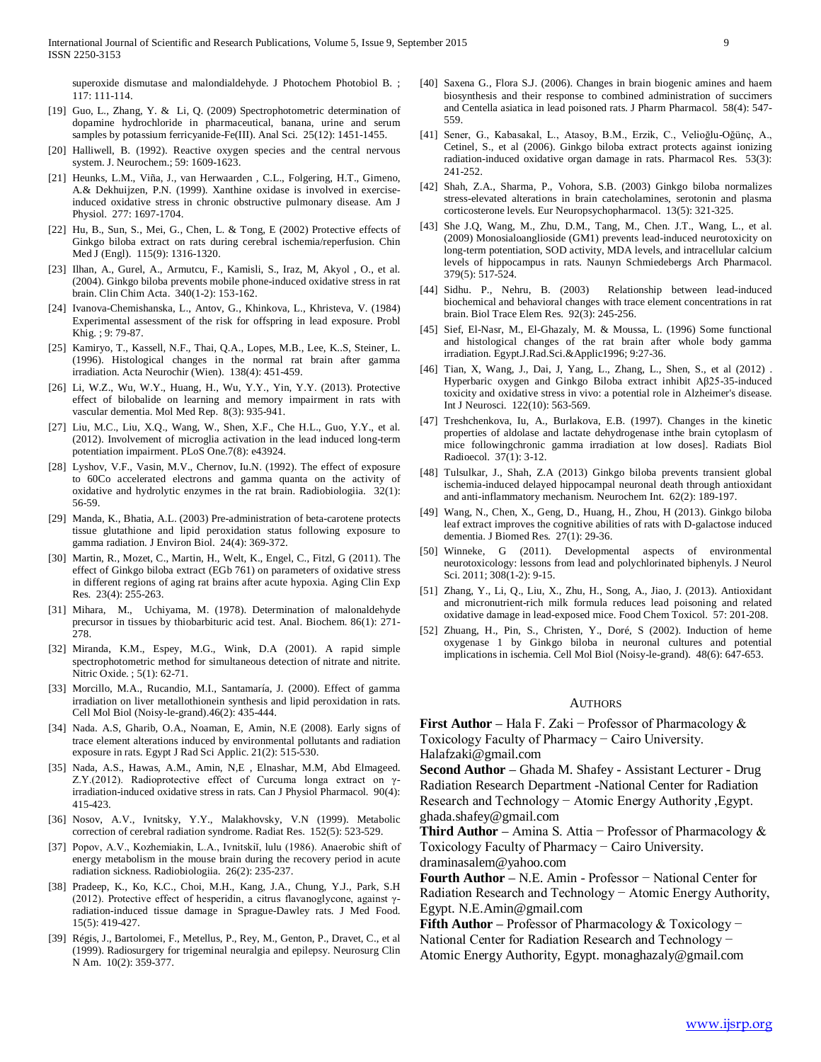superoxide dismutase and malondialdehyde. J Photochem Photobiol B. ; 117: 111-114.

- [19] Guo, L., Zhang, Y. & Li, Q. (2009) Spectrophotometric determination of dopamine hydrochloride in pharmaceutical, banana, urine and serum samples by potassium ferricyanide-Fe(III). Anal Sci. 25(12): 1451-1455.
- [20] Halliwell, B. (1992). Reactive oxygen species and the central nervous system. J. Neurochem.; 59: 1609-1623.
- [21] Heunks, L.M., Viña, J., van Herwaarden , C.L., Folgering, H.T., Gimeno, A.& Dekhuijzen, P.N. (1999). Xanthine oxidase is involved in exerciseinduced oxidative stress in chronic obstructive pulmonary disease. Am J Physiol. 277: 1697-1704.
- [22] Hu, B., Sun, S., Mei, G., Chen, L. & Tong, E (2002) Protective effects of Ginkgo biloba extract on rats during cerebral ischemia/reperfusion. Chin Med J (Engl). 115(9): 1316-1320.
- [23] Ilhan, A., Gurel, A., Armutcu, F., Kamisli, S., Iraz, M. Akyol, O., et al. (2004). Ginkgo biloba prevents mobile phone-induced oxidative stress in rat brain. Clin Chim Acta. 340(1-2): 153-162.
- [24] Ivanova-Chemishanska, L., Antov, G., Khinkova, L., Khristeva, V. (1984) Experimental assessment of the risk for offspring in lead exposure. Probl Khig. ; 9: 79-87.
- [25] Kamiryo, T., Kassell, N.F., Thai, Q.A., Lopes, M.B., Lee, K..S, Steiner, L. (1996). Histological changes in the normal rat brain after gamma irradiation. Acta Neurochir (Wien). 138(4): 451-459.
- [26] Li, W.Z., Wu, W.Y., Huang, H., Wu, Y.Y., Yin, Y.Y. (2013). Protective effect of bilobalide on learning and memory impairment in rats with vascular dementia. Mol Med Rep. 8(3): 935-941.
- [27] Liu, M.C., Liu, X.Q., Wang, W., Shen, X.F., Che H.L., Guo, Y.Y., et al. (2012). Involvement of microglia activation in the lead induced long-term potentiation impairment. PLoS One.7(8): e43924.
- [28] Lyshov, V.F., Vasin, M.V., Chernov, Iu.N. (1992). The effect of exposure to 60Co accelerated electrons and gamma quanta on the activity of oxidative and hydrolytic enzymes in the rat brain. Radiobiologiia. 32(1): 56-59.
- [29] Manda, K., Bhatia, A.L. (2003) Pre-administration of beta-carotene protects tissue glutathione and lipid peroxidation status following exposure to gamma radiation. J Environ Biol. 24(4): 369-372.
- [30] Martin, R., Mozet, C., Martin, H., Welt, K., Engel, C., Fitzl, G (2011). The effect of Ginkgo biloba extract (EGb 761) on parameters of oxidative stress in different regions of aging rat brains after acute hypoxia. Aging Clin Exp Res. 23(4): 255-263.
- [31] Mihara, M., Uchiyama, M. (1978). Determination of malonaldehyde precursor in tissues by thiobarbituric acid test. Anal. Biochem. 86(1): 271- 278.
- [32] Miranda, K.M., Espey, M.G., Wink, D.A (2001). A rapid simple spectrophotometric method for simultaneous detection of nitrate and nitrite. Nitric Oxide. ; 5(1): 62-71.
- [33] Morcillo, M.A., Rucandio, M.I., Santamaría, J. (2000). Effect of gamma irradiation on liver metallothionein synthesis and lipid peroxidation in rats. Cell Mol Biol (Noisy-le-grand).46(2): 435-444.
- [34] Nada. A.S, Gharib, O.A., Noaman, E, Amin, N.E (2008). Early signs of trace element alterations induced by environmental pollutants and radiation exposure in rats. Egypt J Rad Sci Applic. 21(2): 515-530.
- [35] Nada, A.S., Hawas, A.M., Amin, N,E , Elnashar, M.M, Abd Elmageed. Z.Y.(2012). Radioprotective effect of Curcuma longa extract on γirradiation-induced oxidative stress in rats. Can J Physiol Pharmacol. 90(4): 415-423.
- [36] Nosov, A.V., Ivnitsky, Y.Y., Malakhovsky, V.N (1999). Metabolic correction of cerebral radiation syndrome. Radiat Res. 152(5): 523-529.
- [37] Popov, A.V., Kozhemiakin, L.A., Ivnitskiĭ, lulu (1986). Anaerobic shift of energy metabolism in the mouse brain during the recovery period in acute radiation sickness. Radiobiologiia. 26(2): 235-237.
- [38] Pradeep, K., Ko, K.C., Choi, M.H., Kang, J.A., Chung, Y.J., Park, S.H (2012). Protective effect of hesperidin, a citrus flavanoglycone, against γradiation-induced tissue damage in Sprague-Dawley rats. J Med Food. 15(5): 419-427.
- [39] Régis, J., Bartolomei, F., Metellus, P., Rey, M., Genton, P., Dravet, C., et al (1999). Radiosurgery for trigeminal neuralgia and epilepsy. Neurosurg Clin N Am. 10(2): 359-377.
- [40] Saxena G., Flora S.J. (2006). Changes in brain biogenic amines and haem biosynthesis and their response to combined administration of succimers and Centella asiatica in lead poisoned rats. J Pharm Pharmacol. 58(4): 547- 559.
- [41] Sener, G., Kabasakal, L., Atasoy, B.M., Erzik, C., Velioğlu-Oğünç, A., Cetinel, S., et al (2006). Ginkgo biloba extract protects against ionizing radiation-induced oxidative organ damage in rats. Pharmacol Res. 53(3): 241-252.
- [42] Shah, Z.A., Sharma, P., Vohora, S.B. (2003) Ginkgo biloba normalizes stress-elevated alterations in brain catecholamines, serotonin and plasma corticosterone levels. Eur Neuropsychopharmacol. 13(5): 321-325.
- [43] She J.Q, Wang, M., Zhu, D.M., Tang, M., Chen. J.T., Wang, L., et al. (2009) Monosialoanglioside (GM1) prevents lead-induced neurotoxicity on long-term potentiation, SOD activity, MDA levels, and intracellular calcium levels of hippocampus in rats. Naunyn Schmiedebergs Arch Pharmacol. 379(5): 517-524.
- [44] Sidhu. P., Nehru, B. (2003) Relationship between lead-induced biochemical and behavioral changes with trace element concentrations in rat brain. Biol Trace Elem Res. 92(3): 245-256.
- [45] Sief, El-Nasr, M., El-Ghazaly, M. & Moussa, L. (1996) Some functional and histological changes of the rat brain after whole body gamma irradiation. Egypt.J.Rad.Sci.&Applic1996; 9:27-36.
- [46] Tian, X, Wang, J., Dai, J, Yang, L., Zhang, L., Shen, S., et al (2012) . Hyperbaric oxygen and Ginkgo Biloba extract inhibit Aβ25-35-induced toxicity and oxidative stress in vivo: a potential role in Alzheimer's disease. Int J Neurosci. 122(10): 563-569.
- [47] Treshchenkova, Iu, A., Burlakova, E.B. (1997). Changes in the kinetic properties of aldolase and lactate dehydrogenase inthe brain cytoplasm of mice followingchronic gamma irradiation at low doses]. Radiats Biol Radioecol. 37(1): 3-12.
- [48] Tulsulkar, J., Shah, Z.A (2013) Ginkgo biloba prevents transient global ischemia-induced delayed hippocampal neuronal death through antioxidant and anti-inflammatory mechanism. Neurochem Int. 62(2): 189-197.
- [49] Wang, N., Chen, X., Geng, D., Huang, H., Zhou, H (2013). Ginkgo biloba leaf extract improves the cognitive abilities of rats with D-galactose induced dementia. J Biomed Res. 27(1): 29-36.
- [50] Winneke, G (2011). Developmental aspects of environmental neurotoxicology: lessons from lead and polychlorinated biphenyls. J Neurol Sci. 2011; 308(1-2): 9-15.
- [51] Zhang, Y., Li, Q., Liu, X., Zhu, H., Song, A., Jiao, J. (2013). Antioxidant and micronutrient-rich milk formula reduces lead poisoning and related oxidative damage in lead-exposed mice. Food Chem Toxicol. 57: 201-208.
- [52] Zhuang, H., Pin, S., Christen, Y., Doré, S (2002). Induction of heme oxygenase 1 by Ginkgo biloba in neuronal cultures and potential implications in ischemia. Cell Mol Biol (Noisy-le-grand). 48(6): 647-653.

#### **AUTHORS**

**First Author** – Hala F. Zaki − Professor of Pharmacology & Toxicology Faculty of Pharmacy − Cairo University.

Halafzaki@gmail.com

**Second Author** – Ghada M. Shafey - Assistant Lecturer - Drug Radiation Research Department -National Center for Radiation Research and Technology − Atomic Energy Authority ,Egypt. ghada.shafey@gmail.com

**Third Author** – Amina S. Attia − Professor of Pharmacology & Toxicology Faculty of Pharmacy − Cairo University. draminasalem@yahoo.com

**Fourth Author** – N.E. Amin - Professor − National Center for Radiation Research and Technology − Atomic Energy Authority, Egypt. N.E.Amin@gmail.com

**Fifth Author** – Professor of Pharmacology & Toxicology − National Center for Radiation Research and Technology – Atomic Energy Authority, Egypt. monaghazaly@gmail.com